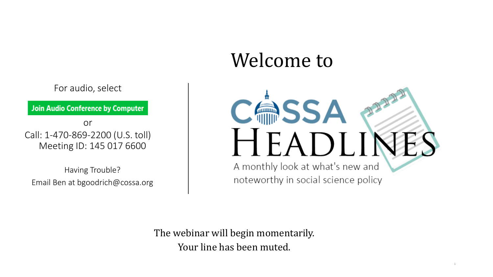## Welcome to



For audio, select

Join Audio Conference by Computer

or Call: 1-470-869-2200 (U.S. toll) Meeting ID: 145 017 6600

Having Trouble? Email Ben at bgoodrich@cossa.org

> The webinar will begin momentarily. Your line has been muted.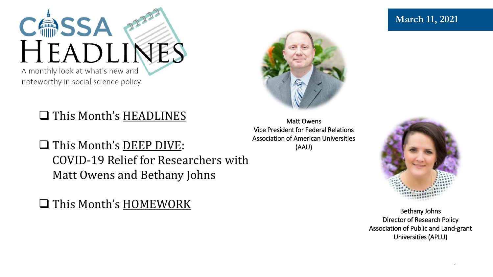

## ❑ This Month's HEADLINES

❑ This Month's DEEP DIVE: COVID-19 Relief for Researchers with Matt Owens and Bethany Johns

❑ This Month's HOMEWORK

Matt Owens Vice President for Federal Relations Association of American Universities (AAU)



Bethany Johns Director of Research Policy Association of Public and Land-grant Universities (APLU)

### **March 11, 2021**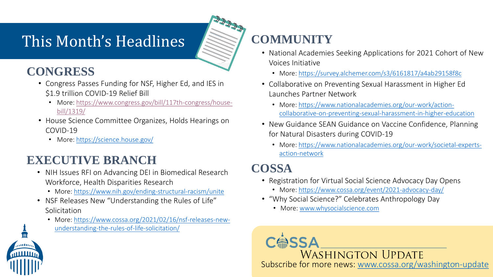## This Month's Headlines **Research COMMUNITY**

### **CONGRESS**

- Congress Passes Funding for NSF, Higher Ed, and IES in \$1.9 trillion COVID-19 Relief Bill
	- [More: https://www.congress.gov/bill/117th-congress/house](https://www.congress.gov/bill/117th-congress/house-bill/1319/)bill/1319/
- House Science Committee Organizes, Holds Hearings on COVID-19
	- More:<https://science.house.gov/>

### **EXECUTIVE BRANCH**

- NIH Issues RFI on Advancing DEI in Biomedical Research Workforce, Health Disparities Research
	- More:<https://www.nih.gov/ending-structural-racism/unite>
- NSF Releases New "Understanding the Rules of Life" Solicitation
	- [More: https://www.cossa.org/2021/02/16/nsf-releases-new](https://www.cossa.org/2021/02/16/nsf-releases-new-understanding-the-rules-of-life-solicitation/)understanding-the-rules-of-life-solicitation/

- National Academies Seeking Applications for 2021 Cohort of New Voices Initiative
	- More:<https://survey.alchemer.com/s3/6161817/a4ab29158f8c>
- Collaborative on Preventing Sexual Harassment in Higher Ed Launches Partner Network
	- More: https://www.nationalacademies.org/our-work/action[collaborative-on-preventing-sexual-harassment-in-higher-education](https://www.nationalacademies.org/our-work/action-collaborative-on-preventing-sexual-harassment-in-higher-education)
- New Guidance SEAN Guidance on Vaccine Confidence, Planning for Natural Disasters during COVID-19
	- [More: https://www.nationalacademies.org/our-work/societal-experts](https://www.nationalacademies.org/our-work/societal-experts-action-network)action-network

### **COSSA**

- Registration for Virtual Social Science Advocacy Day Opens
	- More:<https://www.cossa.org/event/2021-advocacy-day/>
- "Why Social Science?" Celebrates Anthropology Day
	- More: [www.whysocialscience.com](http://www.whysocialscience.com/)



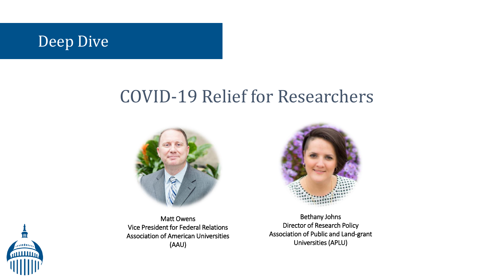

## COVID-19 Relief for Researchers



Matt Owens Vice President for Federal Relations Association of American Universities (AAU)



Bethany Johns Director of Research Policy Association of Public and Land-grant Universities (APLU)

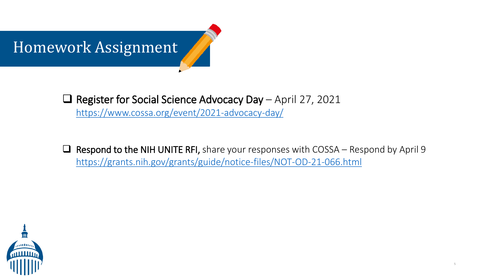

❑ Register for Social Science Advocacy Day – April 27, 2021 <https://www.cossa.org/event/2021-advocacy-day/>

 $\Box$  Respond to the NIH UNITE RFI, share your responses with COSSA – Respond by April 9 <https://grants.nih.gov/grants/guide/notice-files/NOT-OD-21-066.html>

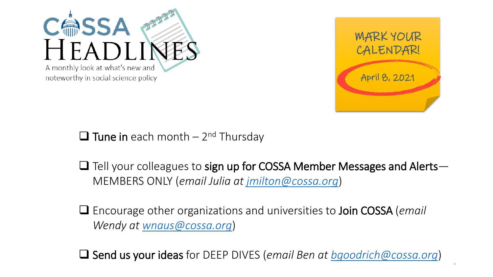



 $\Box$  Tune in each month – 2<sup>nd</sup> Thursday

- $\Box$  Tell your colleagues to sign up for COSSA Member Messages and Alerts— MEMBERS ONLY (*email Julia at [jmilton@cossa.org](mailto:jmilton@cossa.org)*)
- ❑ Encourage other organizations and universities to Join COSSA (*email Wendy at [wnaus@cossa.org](mailto:wnaus@cossa.org)*)

❑ Send us your ideas for DEEP DIVES (*email Ben at [bgoodrich@cossa.org](mailto:bgoodrich@cossa.org)*)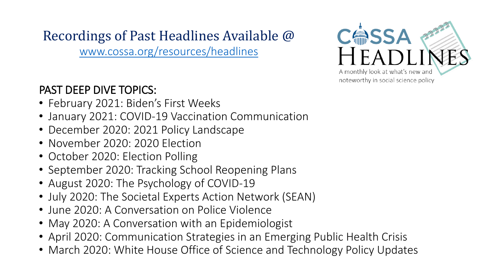# Recordings of Past Headlines Available @

[www.cossa.org/resources/headlines](http://www.cossa.org/resources/headlines)

### PAST DEEP DIVE TOPICS:

- February 2021: Biden's First Weeks
- January 2021: COVID-19 Vaccination Communication
- December 2020: 2021 Policy Landscape
- November 2020: 2020 Election
- October 2020: Election Polling
- September 2020: Tracking School Reopening Plans
- August 2020: The Psychology of COVID-19
- July 2020: The Societal Experts Action Network (SEAN)
- June 2020: A Conversation on Police Violence
- May 2020: A Conversation with an Epidemiologist
- April 2020: Communication Strategies in an Emerging Public Health Crisis
- March 2020: White House Office of Science and Technology Policy Updates